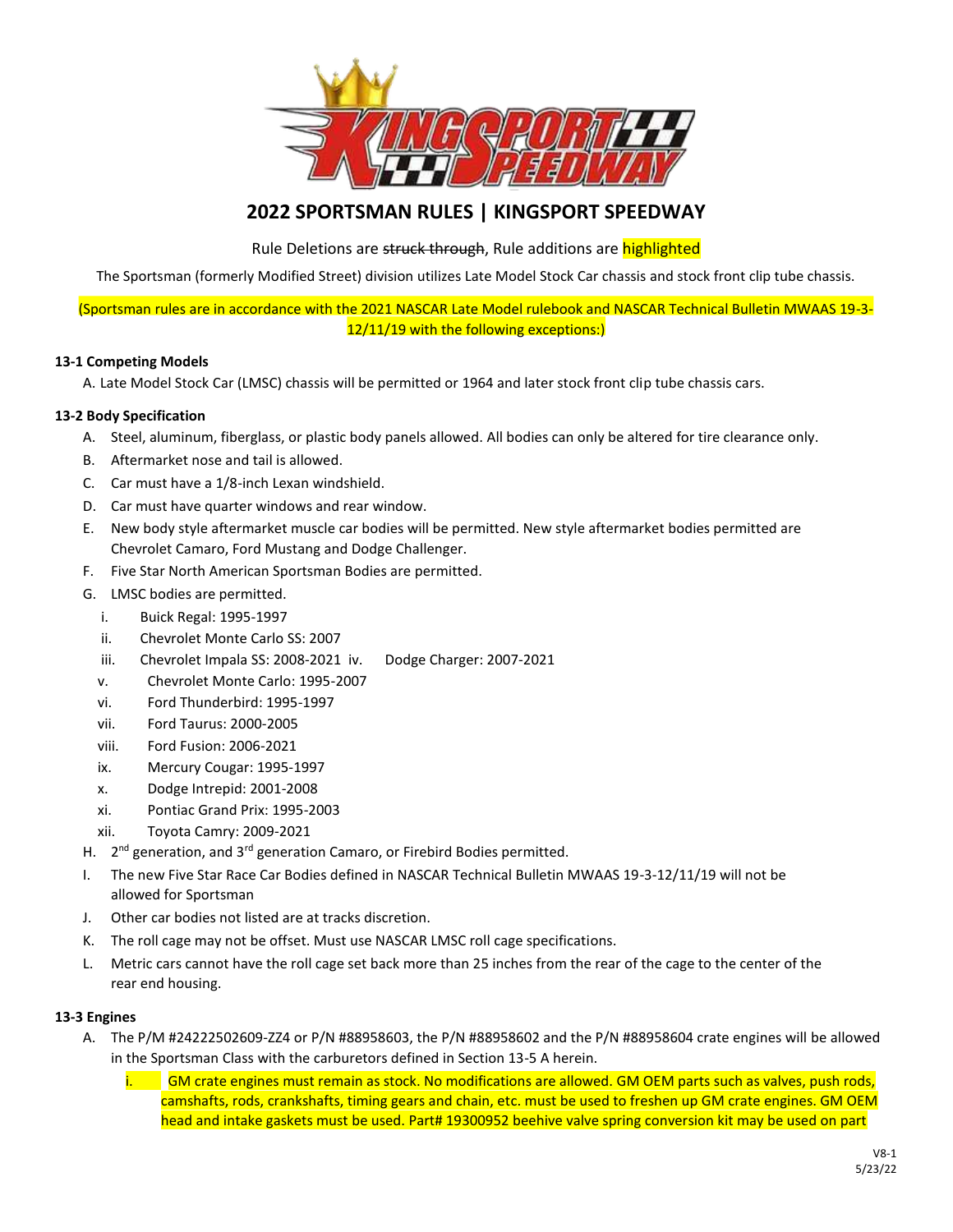

# **2022 SPORTSMAN RULES | KINGSPORT SPEEDWAY**

Rule Deletions are struck through, Rule additions are highlighted

The Sportsman (formerly Modified Street) division utilizes Late Model Stock Car chassis and stock front clip tube chassis.

(Sportsman rules are in accordance with the 2021 NASCAR Late Model rulebook and NASCAR Technical Bulletin MWAAS 19-3- 12/11/19 with the following exceptions:)

## **13-1 Competing Models**

A. Late Model Stock Car (LMSC) chassis will be permitted or 1964 and later stock front clip tube chassis cars.

# **13-2 Body Specification**

- A. Steel, aluminum, fiberglass, or plastic body panels allowed. All bodies can only be altered for tire clearance only.
- B. Aftermarket nose and tail is allowed.
- C. Car must have a 1/8-inch Lexan windshield.
- D. Car must have quarter windows and rear window.
- E. New body style aftermarket muscle car bodies will be permitted. New style aftermarket bodies permitted are Chevrolet Camaro, Ford Mustang and Dodge Challenger.
- F. Five Star North American Sportsman Bodies are permitted.
- G. LMSC bodies are permitted.
	- i. Buick Regal: 1995-1997
	- ii. Chevrolet Monte Carlo SS: 2007
	- iii. Chevrolet Impala SS: 2008-2021 iv. Dodge Charger: 2007-2021
	- v. Chevrolet Monte Carlo: 1995-2007
	- vi. Ford Thunderbird: 1995-1997
	- vii. Ford Taurus: 2000-2005
	- viii. Ford Fusion: 2006-2021
	- ix. Mercury Cougar: 1995-1997
	- x. Dodge Intrepid: 2001-2008
	- xi. Pontiac Grand Prix: 1995-2003
	- xii. Toyota Camry: 2009-2021
- H. 2<sup>nd</sup> generation, and 3<sup>rd</sup> generation Camaro, or Firebird Bodies permitted.
- I. The new Five Star Race Car Bodies defined in NASCAR Technical Bulletin MWAAS 19-3-12/11/19 will not be allowed for Sportsman
- J. Other car bodies not listed are at tracks discretion.
- K. The roll cage may not be offset. Must use NASCAR LMSC roll cage specifications.
- L. Metric cars cannot have the roll cage set back more than 25 inches from the rear of the cage to the center of the rear end housing.

## **13-3 Engines**

- A. The P/M #24222502609-ZZ4 or P/N #88958603, the P/N #88958602 and the P/N #88958604 crate engines will be allowed in the Sportsman Class with the carburetors defined in Section 13-5 A herein.
	- i. GM crate engines must remain as stock. No modifications are allowed. GM OEM parts such as valves, push rods, camshafts, rods, crankshafts, timing gears and chain, etc. must be used to freshen up GM crate engines. GM OEM head and intake gaskets must be used. Part# 19300952 beehive valve spring conversion kit may be used on part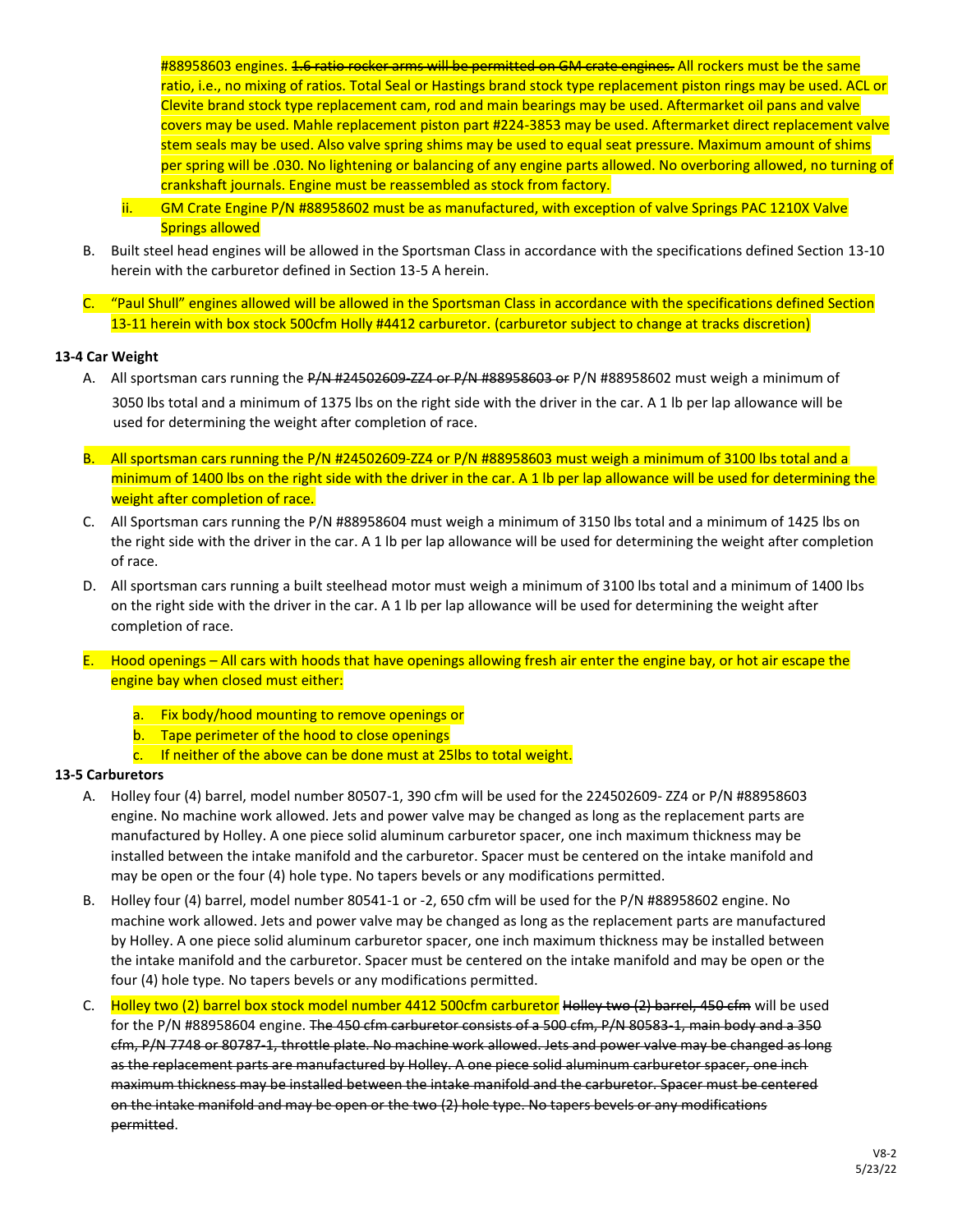#88958603 engines. <del>1.6 ratio rocker arms will be permitted on GM crate engines.</del> All rockers must be the same ratio, i.e., no mixing of ratios. Total Seal or Hastings brand stock type replacement piston rings may be used. ACL or Clevite brand stock type replacement cam, rod and main bearings may be used. Aftermarket oil pans and valve covers may be used. Mahle replacement piston part #224-3853 may be used. Aftermarket direct replacement valve stem seals may be used. Also valve spring shims may be used to equal seat pressure. Maximum amount of shims per spring will be .030. No lightening or balancing of any engine parts allowed. No overboring allowed, no turning of crankshaft journals. Engine must be reassembled as stock from factory.

- ii. GM Crate Engine P/N #88958602 must be as manufactured, with exception of valve Springs PAC 1210X Valve Springs allowed
- B. Built steel head engines will be allowed in the Sportsman Class in accordance with the specifications defined Section 13-10 herein with the carburetor defined in Section 13-5 A herein.
- C. "Paul Shull" engines allowed will be allowed in the Sportsman Class in accordance with the specifications defined Section 13-11 herein with box stock 500cfm Holly #4412 carburetor. (carburetor subject to change at tracks discretion)

## **13-4 Car Weight**

- A. All sportsman cars running the P/N #24502609-ZZ4 or P/N #88958603 or P/N #88958602 must weigh a minimum of 3050 lbs total and a minimum of 1375 lbs on the right side with the driver in the car. A 1 lb per lap allowance will be used for determining the weight after completion of race.
- B. All sportsman cars running the P/N #24502609-ZZ4 or P/N #88958603 must weigh a minimum of 3100 lbs total and a minimum of 1400 lbs on the right side with the driver in the car. A 1 lb per lap allowance will be used for determining the weight after completion of race.
- C. All Sportsman cars running the P/N #88958604 must weigh a minimum of 3150 lbs total and a minimum of 1425 lbs on the right side with the driver in the car. A 1 lb per lap allowance will be used for determining the weight after completion of race.
- D. All sportsman cars running a built steelhead motor must weigh a minimum of 3100 lbs total and a minimum of 1400 lbs on the right side with the driver in the car. A 1 lb per lap allowance will be used for determining the weight after completion of race.
- E. Hood openings All cars with hoods that have openings allowing fresh air enter the engine bay, or hot air escape the engine bay when closed must either:
	- a. Fix body/hood mounting to remove openings or
	- b. Tape perimeter of the hood to close openings
	- c. If neither of the above can be done must at 25lbs to total weight.

## **13-5 Carburetors**

- A. Holley four (4) barrel, model number 80507-1, 390 cfm will be used for the 224502609- ZZ4 or P/N #88958603 engine. No machine work allowed. Jets and power valve may be changed as long as the replacement parts are manufactured by Holley. A one piece solid aluminum carburetor spacer, one inch maximum thickness may be installed between the intake manifold and the carburetor. Spacer must be centered on the intake manifold and may be open or the four (4) hole type. No tapers bevels or any modifications permitted.
- B. Holley four (4) barrel, model number 80541-1 or -2, 650 cfm will be used for the P/N #88958602 engine. No machine work allowed. Jets and power valve may be changed as long as the replacement parts are manufactured by Holley. A one piece solid aluminum carburetor spacer, one inch maximum thickness may be installed between the intake manifold and the carburetor. Spacer must be centered on the intake manifold and may be open or the four (4) hole type. No tapers bevels or any modifications permitted.
- C. Holley two (2) barrel box stock model number 4412 500cfm carburetor Holley two (2) barrel, 450 cfm will be used for the P/N #88958604 engine. The 450 cfm carburetor consists of a 500 cfm, P/N 80583-1, main body and a 350 cfm, P/N 7748 or 80787-1, throttle plate. No machine work allowed. Jets and power valve may be changed as long as the replacement parts are manufactured by Holley. A one piece solid aluminum carburetor spacer, one inch maximum thickness may be installed between the intake manifold and the carburetor. Spacer must be centered on the intake manifold and may be open or the two (2) hole type. No tapers bevels or any modifications permitted.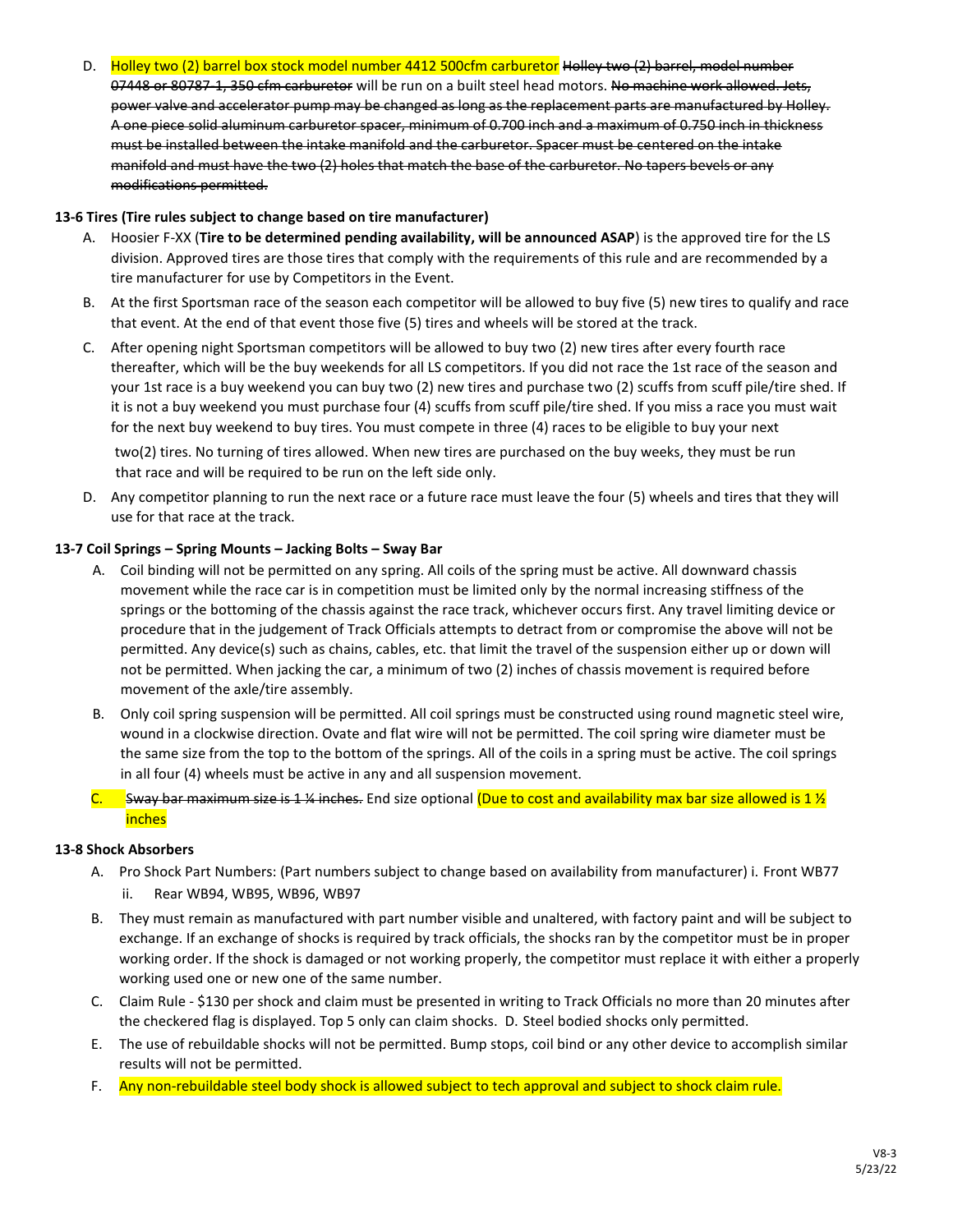D. Holley two (2) barrel box stock model number 4412 500cfm carburetor Holley two (2) barrel, model number 07448 or 80787-1, 350 cfm carburetor will be run on a built steel head motors. No machine work allowed. Jets, power valve and accelerator pump may be changed as long as the replacement parts are manufactured by Holley. A one piece solid aluminum carburetor spacer, minimum of 0.700 inch and a maximum of 0.750 inch in thickness must be installed between the intake manifold and the carburetor. Spacer must be centered on the intake manifold and must have the two (2) holes that match the base of the carburetor. No tapers bevels or any modifications permitted.

## **13-6 Tires (Tire rules subject to change based on tire manufacturer)**

- A. Hoosier F-XX (**Tire to be determined pending availability, will be announced ASAP**) is the approved tire for the LS division. Approved tires are those tires that comply with the requirements of this rule and are recommended by a tire manufacturer for use by Competitors in the Event.
- B. At the first Sportsman race of the season each competitor will be allowed to buy five (5) new tires to qualify and race that event. At the end of that event those five (5) tires and wheels will be stored at the track.
- C. After opening night Sportsman competitors will be allowed to buy two (2) new tires after every fourth race thereafter, which will be the buy weekends for all LS competitors. If you did not race the 1st race of the season and your 1st race is a buy weekend you can buy two (2) new tires and purchase two (2) scuffs from scuff pile/tire shed. If it is not a buy weekend you must purchase four (4) scuffs from scuff pile/tire shed. If you miss a race you must wait for the next buy weekend to buy tires. You must compete in three (4) races to be eligible to buy your next

two(2) tires. No turning of tires allowed. When new tires are purchased on the buy weeks, they must be run that race and will be required to be run on the left side only.

D. Any competitor planning to run the next race or a future race must leave the four (5) wheels and tires that they will use for that race at the track.

## **13-7 Coil Springs – Spring Mounts – Jacking Bolts – Sway Bar**

- A. Coil binding will not be permitted on any spring. All coils of the spring must be active. All downward chassis movement while the race car is in competition must be limited only by the normal increasing stiffness of the springs or the bottoming of the chassis against the race track, whichever occurs first. Any travel limiting device or procedure that in the judgement of Track Officials attempts to detract from or compromise the above will not be permitted. Any device(s) such as chains, cables, etc. that limit the travel of the suspension either up or down will not be permitted. When jacking the car, a minimum of two (2) inches of chassis movement is required before movement of the axle/tire assembly.
- B. Only coil spring suspension will be permitted. All coil springs must be constructed using round magnetic steel wire, wound in a clockwise direction. Ovate and flat wire will not be permitted. The coil spring wire diameter must be the same size from the top to the bottom of the springs. All of the coils in a spring must be active. The coil springs in all four (4) wheels must be active in any and all suspension movement.
- C. Sway bar maximum size is 1 ¼ inches. End size optional (Due to cost and availability max bar size allowed is 1  $\frac{1}{2}$ inches

## **13-8 Shock Absorbers**

- A. Pro Shock Part Numbers: (Part numbers subject to change based on availability from manufacturer) i. Front WB77 ii. Rear WB94, WB95, WB96, WB97
- B. They must remain as manufactured with part number visible and unaltered, with factory paint and will be subject to exchange. If an exchange of shocks is required by track officials, the shocks ran by the competitor must be in proper working order. If the shock is damaged or not working properly, the competitor must replace it with either a properly working used one or new one of the same number.
- C. Claim Rule \$130 per shock and claim must be presented in writing to Track Officials no more than 20 minutes after the checkered flag is displayed. Top 5 only can claim shocks. D. Steel bodied shocks only permitted.
- E. The use of rebuildable shocks will not be permitted. Bump stops, coil bind or any other device to accomplish similar results will not be permitted.
- F. Any non-rebuildable steel body shock is allowed subject to tech approval and subject to shock claim rule.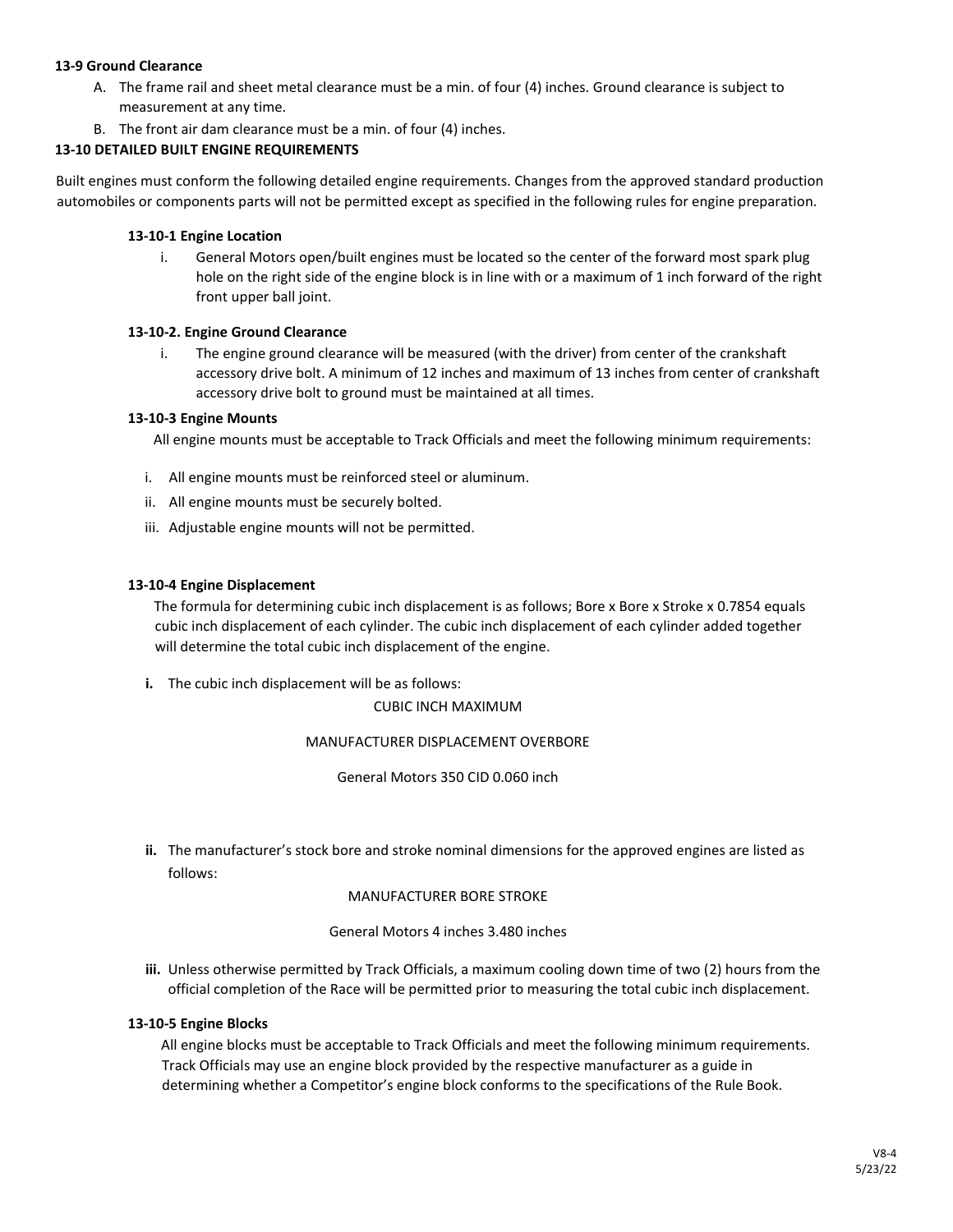## **13-9 Ground Clearance**

- A. The frame rail and sheet metal clearance must be a min. of four (4) inches. Ground clearance is subject to measurement at any time.
- B. The front air dam clearance must be a min. of four (4) inches.

## **13-10 DETAILED BUILT ENGINE REQUIREMENTS**

Built engines must conform the following detailed engine requirements. Changes from the approved standard production automobiles or components parts will not be permitted except as specified in the following rules for engine preparation.

## **13-10-1 Engine Location**

i. General Motors open/built engines must be located so the center of the forward most spark plug hole on the right side of the engine block is in line with or a maximum of 1 inch forward of the right front upper ball joint.

## **13-10-2. Engine Ground Clearance**

i. The engine ground clearance will be measured (with the driver) from center of the crankshaft accessory drive bolt. A minimum of 12 inches and maximum of 13 inches from center of crankshaft accessory drive bolt to ground must be maintained at all times.

## **13-10-3 Engine Mounts**

All engine mounts must be acceptable to Track Officials and meet the following minimum requirements:

- i. All engine mounts must be reinforced steel or aluminum.
- ii. All engine mounts must be securely bolted.
- iii. Adjustable engine mounts will not be permitted.

## **13-10-4 Engine Displacement**

The formula for determining cubic inch displacement is as follows; Bore x Bore x Stroke x 0.7854 equals cubic inch displacement of each cylinder. The cubic inch displacement of each cylinder added together will determine the total cubic inch displacement of the engine.

**i.** The cubic inch displacement will be as follows:

CUBIC INCH MAXIMUM

## MANUFACTURER DISPLACEMENT OVERBORE

General Motors 350 CID 0.060 inch

**ii.** The manufacturer's stock bore and stroke nominal dimensions for the approved engines are listed as follows:

MANUFACTURER BORE STROKE

General Motors 4 inches 3.480 inches

**iii.** Unless otherwise permitted by Track Officials, a maximum cooling down time of two (2) hours from the official completion of the Race will be permitted prior to measuring the total cubic inch displacement.

## **13-10-5 Engine Blocks**

All engine blocks must be acceptable to Track Officials and meet the following minimum requirements. Track Officials may use an engine block provided by the respective manufacturer as a guide in determining whether a Competitor's engine block conforms to the specifications of the Rule Book.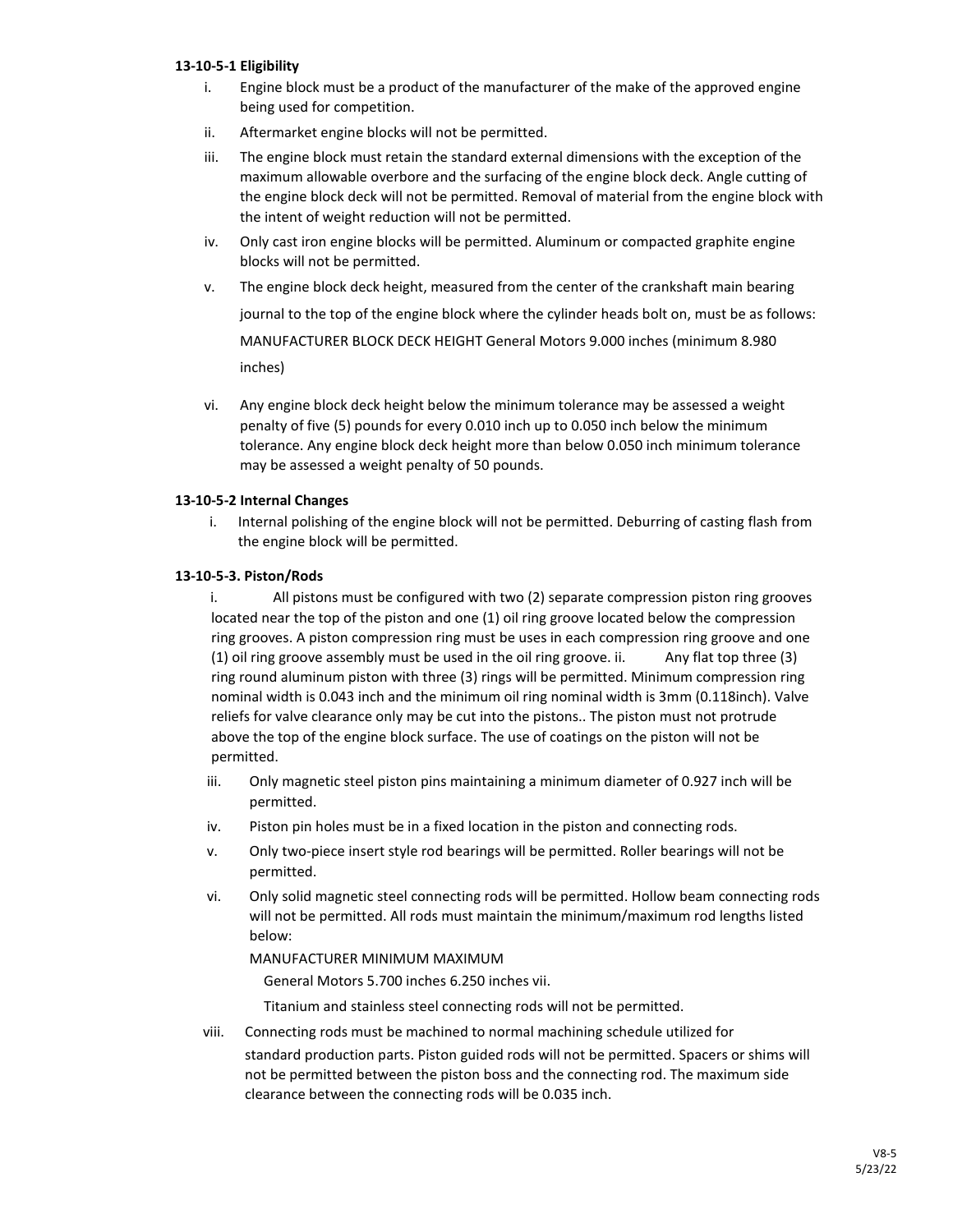## **13-10-5-1 Eligibility**

- i. Engine block must be a product of the manufacturer of the make of the approved engine being used for competition.
- ii. Aftermarket engine blocks will not be permitted.
- iii. The engine block must retain the standard external dimensions with the exception of the maximum allowable overbore and the surfacing of the engine block deck. Angle cutting of the engine block deck will not be permitted. Removal of material from the engine block with the intent of weight reduction will not be permitted.
- iv. Only cast iron engine blocks will be permitted. Aluminum or compacted graphite engine blocks will not be permitted.
- v. The engine block deck height, measured from the center of the crankshaft main bearing journal to the top of the engine block where the cylinder heads bolt on, must be as follows: MANUFACTURER BLOCK DECK HEIGHT General Motors 9.000 inches (minimum 8.980 inches)
- vi. Any engine block deck height below the minimum tolerance may be assessed a weight penalty of five (5) pounds for every 0.010 inch up to 0.050 inch below the minimum tolerance. Any engine block deck height more than below 0.050 inch minimum tolerance may be assessed a weight penalty of 50 pounds.

## **13-10-5-2 Internal Changes**

i. Internal polishing of the engine block will not be permitted. Deburring of casting flash from the engine block will be permitted.

## **13-10-5-3. Piston/Rods**

i. All pistons must be configured with two (2) separate compression piston ring grooves located near the top of the piston and one (1) oil ring groove located below the compression ring grooves. A piston compression ring must be uses in each compression ring groove and one (1) oil ring groove assembly must be used in the oil ring groove. ii. Any flat top three (3) ring round aluminum piston with three (3) rings will be permitted. Minimum compression ring nominal width is 0.043 inch and the minimum oil ring nominal width is 3mm (0.118inch). Valve reliefs for valve clearance only may be cut into the pistons.. The piston must not protrude above the top of the engine block surface. The use of coatings on the piston will not be permitted.

- iii. Only magnetic steel piston pins maintaining a minimum diameter of 0.927 inch will be permitted.
- iv. Piston pin holes must be in a fixed location in the piston and connecting rods.
- v. Only two-piece insert style rod bearings will be permitted. Roller bearings will not be permitted.
- vi. Only solid magnetic steel connecting rods will be permitted. Hollow beam connecting rods will not be permitted. All rods must maintain the minimum/maximum rod lengths listed below:

## MANUFACTURER MINIMUM MAXIMUM

General Motors 5.700 inches 6.250 inches vii.

Titanium and stainless steel connecting rods will not be permitted.

viii. Connecting rods must be machined to normal machining schedule utilized for standard production parts. Piston guided rods will not be permitted. Spacers or shims will not be permitted between the piston boss and the connecting rod. The maximum side clearance between the connecting rods will be 0.035 inch.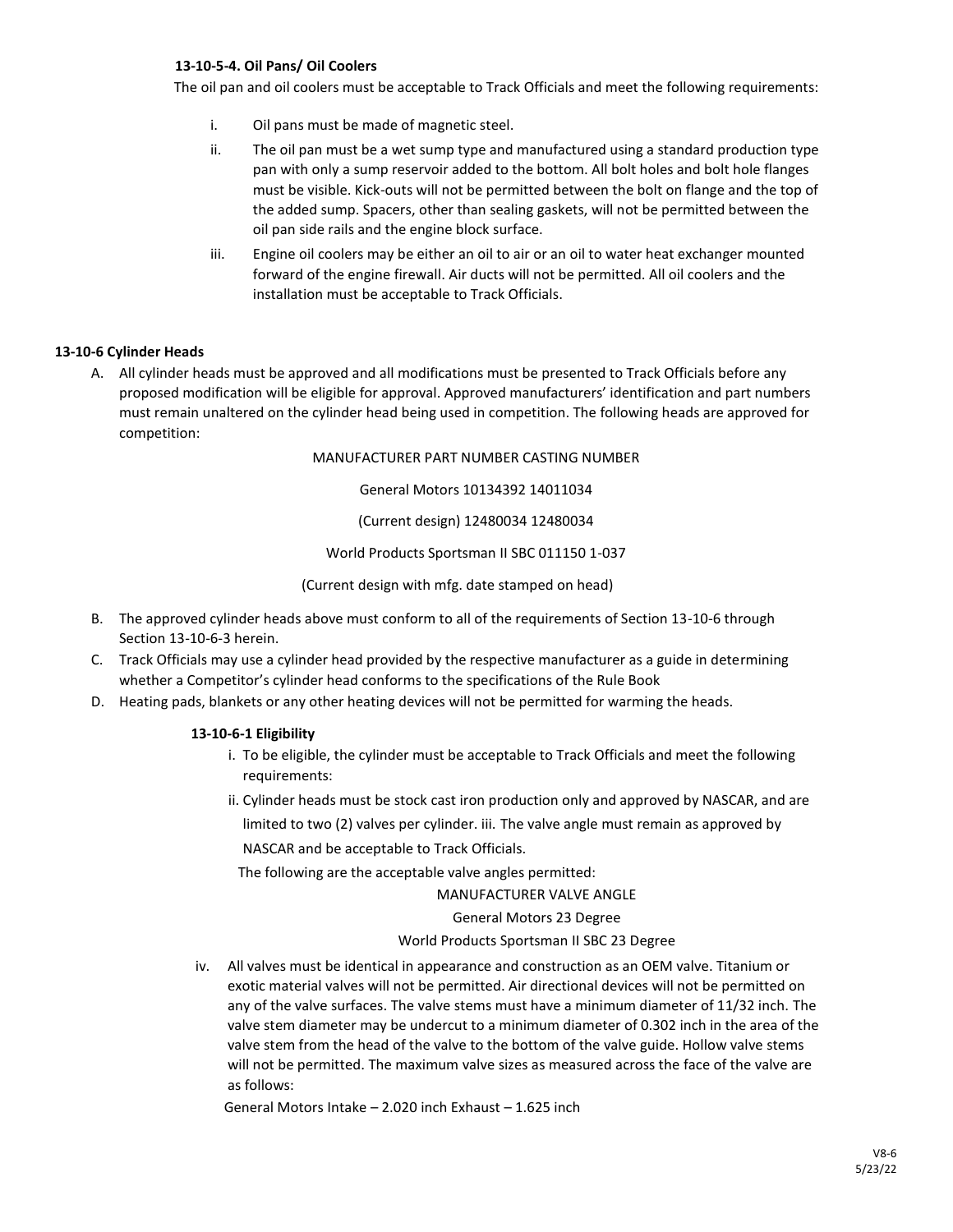#### **13-10-5-4. Oil Pans/ Oil Coolers**

The oil pan and oil coolers must be acceptable to Track Officials and meet the following requirements:

- i. Oil pans must be made of magnetic steel.
- ii. The oil pan must be a wet sump type and manufactured using a standard production type pan with only a sump reservoir added to the bottom. All bolt holes and bolt hole flanges must be visible. Kick-outs will not be permitted between the bolt on flange and the top of the added sump. Spacers, other than sealing gaskets, will not be permitted between the oil pan side rails and the engine block surface.
- iii. Engine oil coolers may be either an oil to air or an oil to water heat exchanger mounted forward of the engine firewall. Air ducts will not be permitted. All oil coolers and the installation must be acceptable to Track Officials.

#### **13-10-6 Cylinder Heads**

A. All cylinder heads must be approved and all modifications must be presented to Track Officials before any proposed modification will be eligible for approval. Approved manufacturers' identification and part numbers must remain unaltered on the cylinder head being used in competition. The following heads are approved for competition:

MANUFACTURER PART NUMBER CASTING NUMBER

General Motors 10134392 14011034

(Current design) 12480034 12480034

World Products Sportsman II SBC 011150 1-037

(Current design with mfg. date stamped on head)

- B. The approved cylinder heads above must conform to all of the requirements of Section 13-10-6 through Section 13-10-6-3 herein.
- C. Track Officials may use a cylinder head provided by the respective manufacturer as a guide in determining whether a Competitor's cylinder head conforms to the specifications of the Rule Book
- D. Heating pads, blankets or any other heating devices will not be permitted for warming the heads.

## **13-10-6-1 Eligibility**

- i. To be eligible, the cylinder must be acceptable to Track Officials and meet the following requirements:
- ii. Cylinder heads must be stock cast iron production only and approved by NASCAR, and are limited to two (2) valves per cylinder. iii. The valve angle must remain as approved by NASCAR and be acceptable to Track Officials.

The following are the acceptable valve angles permitted:

MANUFACTURER VALVE ANGLE

General Motors 23 Degree

#### World Products Sportsman II SBC 23 Degree

iv. All valves must be identical in appearance and construction as an OEM valve. Titanium or exotic material valves will not be permitted. Air directional devices will not be permitted on any of the valve surfaces. The valve stems must have a minimum diameter of 11/32 inch. The valve stem diameter may be undercut to a minimum diameter of 0.302 inch in the area of the valve stem from the head of the valve to the bottom of the valve guide. Hollow valve stems will not be permitted. The maximum valve sizes as measured across the face of the valve are as follows:

General Motors Intake – 2.020 inch Exhaust – 1.625 inch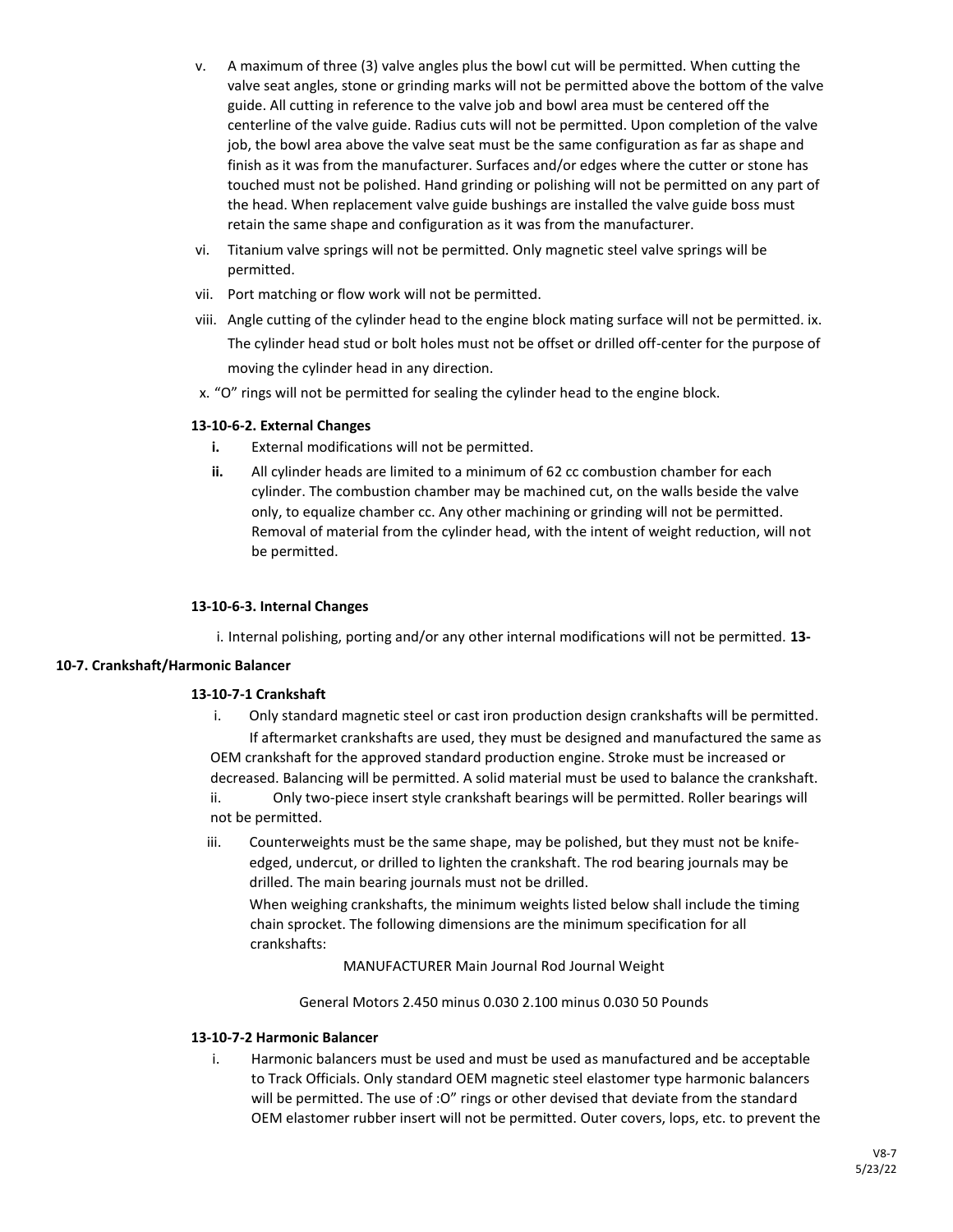- v. A maximum of three (3) valve angles plus the bowl cut will be permitted. When cutting the valve seat angles, stone or grinding marks will not be permitted above the bottom of the valve guide. All cutting in reference to the valve job and bowl area must be centered off the centerline of the valve guide. Radius cuts will not be permitted. Upon completion of the valve job, the bowl area above the valve seat must be the same configuration as far as shape and finish as it was from the manufacturer. Surfaces and/or edges where the cutter or stone has touched must not be polished. Hand grinding or polishing will not be permitted on any part of the head. When replacement valve guide bushings are installed the valve guide boss must retain the same shape and configuration as it was from the manufacturer.
- vi. Titanium valve springs will not be permitted. Only magnetic steel valve springs will be permitted.
- vii. Port matching or flow work will not be permitted.
- viii. Angle cutting of the cylinder head to the engine block mating surface will not be permitted. ix. The cylinder head stud or bolt holes must not be offset or drilled off-center for the purpose of moving the cylinder head in any direction.
- x. "O" rings will not be permitted for sealing the cylinder head to the engine block.

## **13-10-6-2. External Changes**

- **i.** External modifications will not be permitted.
- **ii.** All cylinder heads are limited to a minimum of 62 cc combustion chamber for each cylinder. The combustion chamber may be machined cut, on the walls beside the valve only, to equalize chamber cc. Any other machining or grinding will not be permitted. Removal of material from the cylinder head, with the intent of weight reduction, will not be permitted.

## **13-10-6-3. Internal Changes**

i. Internal polishing, porting and/or any other internal modifications will not be permitted. **13-**

## **10-7. Crankshaft/Harmonic Balancer**

## **13-10-7-1 Crankshaft**

- i. Only standard magnetic steel or cast iron production design crankshafts will be permitted. If aftermarket crankshafts are used, they must be designed and manufactured the same as OEM crankshaft for the approved standard production engine. Stroke must be increased or decreased. Balancing will be permitted. A solid material must be used to balance the crankshaft. ii. Only two-piece insert style crankshaft bearings will be permitted. Roller bearings will not be permitted.
- iii. Counterweights must be the same shape, may be polished, but they must not be knifeedged, undercut, or drilled to lighten the crankshaft. The rod bearing journals may be drilled. The main bearing journals must not be drilled.

When weighing crankshafts, the minimum weights listed below shall include the timing chain sprocket. The following dimensions are the minimum specification for all crankshafts:

MANUFACTURER Main Journal Rod Journal Weight

General Motors 2.450 minus 0.030 2.100 minus 0.030 50 Pounds

## **13-10-7-2 Harmonic Balancer**

i. Harmonic balancers must be used and must be used as manufactured and be acceptable to Track Officials. Only standard OEM magnetic steel elastomer type harmonic balancers will be permitted. The use of : O" rings or other devised that deviate from the standard OEM elastomer rubber insert will not be permitted. Outer covers, lops, etc. to prevent the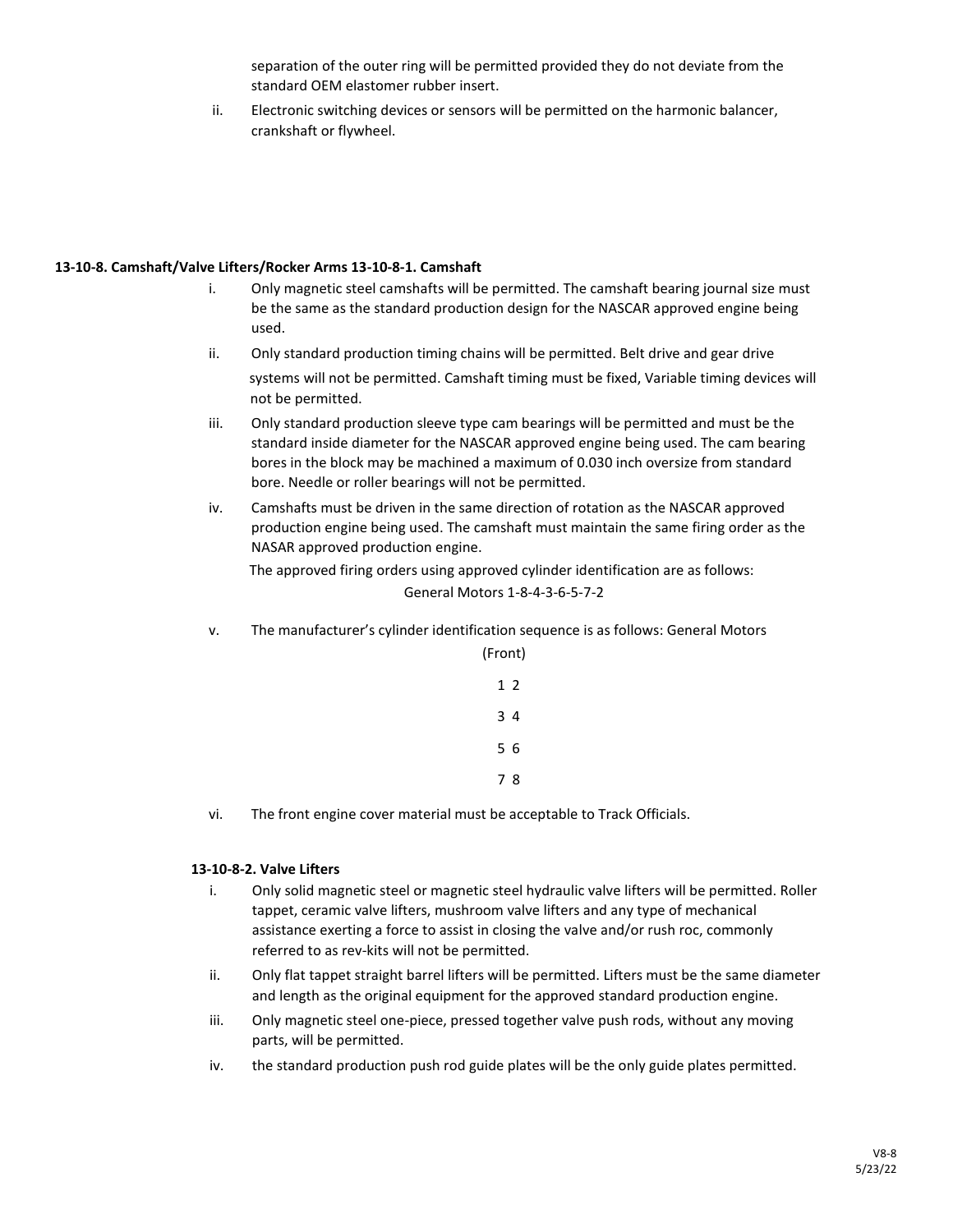separation of the outer ring will be permitted provided they do not deviate from the standard OEM elastomer rubber insert.

ii. Electronic switching devices or sensors will be permitted on the harmonic balancer, crankshaft or flywheel.

## **13-10-8. Camshaft/Valve Lifters/Rocker Arms 13-10-8-1. Camshaft**

- i. Only magnetic steel camshafts will be permitted. The camshaft bearing journal size must be the same as the standard production design for the NASCAR approved engine being used.
- ii. Only standard production timing chains will be permitted. Belt drive and gear drive systems will not be permitted. Camshaft timing must be fixed, Variable timing devices will not be permitted.
- iii. Only standard production sleeve type cam bearings will be permitted and must be the standard inside diameter for the NASCAR approved engine being used. The cam bearing bores in the block may be machined a maximum of 0.030 inch oversize from standard bore. Needle or roller bearings will not be permitted.
- iv. Camshafts must be driven in the same direction of rotation as the NASCAR approved production engine being used. The camshaft must maintain the same firing order as the NASAR approved production engine. The approved firing orders using approved cylinder identification are as follows:

General Motors 1-8-4-3-6-5-7-2

v. The manufacturer's cylinder identification sequence is as follows: General Motors

| (Front)        |  |
|----------------|--|
| 1 <sub>2</sub> |  |
| 34             |  |
| 5 6            |  |
| 78             |  |
|                |  |

vi. The front engine cover material must be acceptable to Track Officials.

## **13-10-8-2. Valve Lifters**

- i. Only solid magnetic steel or magnetic steel hydraulic valve lifters will be permitted. Roller tappet, ceramic valve lifters, mushroom valve lifters and any type of mechanical assistance exerting a force to assist in closing the valve and/or rush roc, commonly referred to as rev-kits will not be permitted.
- ii. Only flat tappet straight barrel lifters will be permitted. Lifters must be the same diameter and length as the original equipment for the approved standard production engine.
- iii. Only magnetic steel one-piece, pressed together valve push rods, without any moving parts, will be permitted.
- iv. the standard production push rod guide plates will be the only guide plates permitted.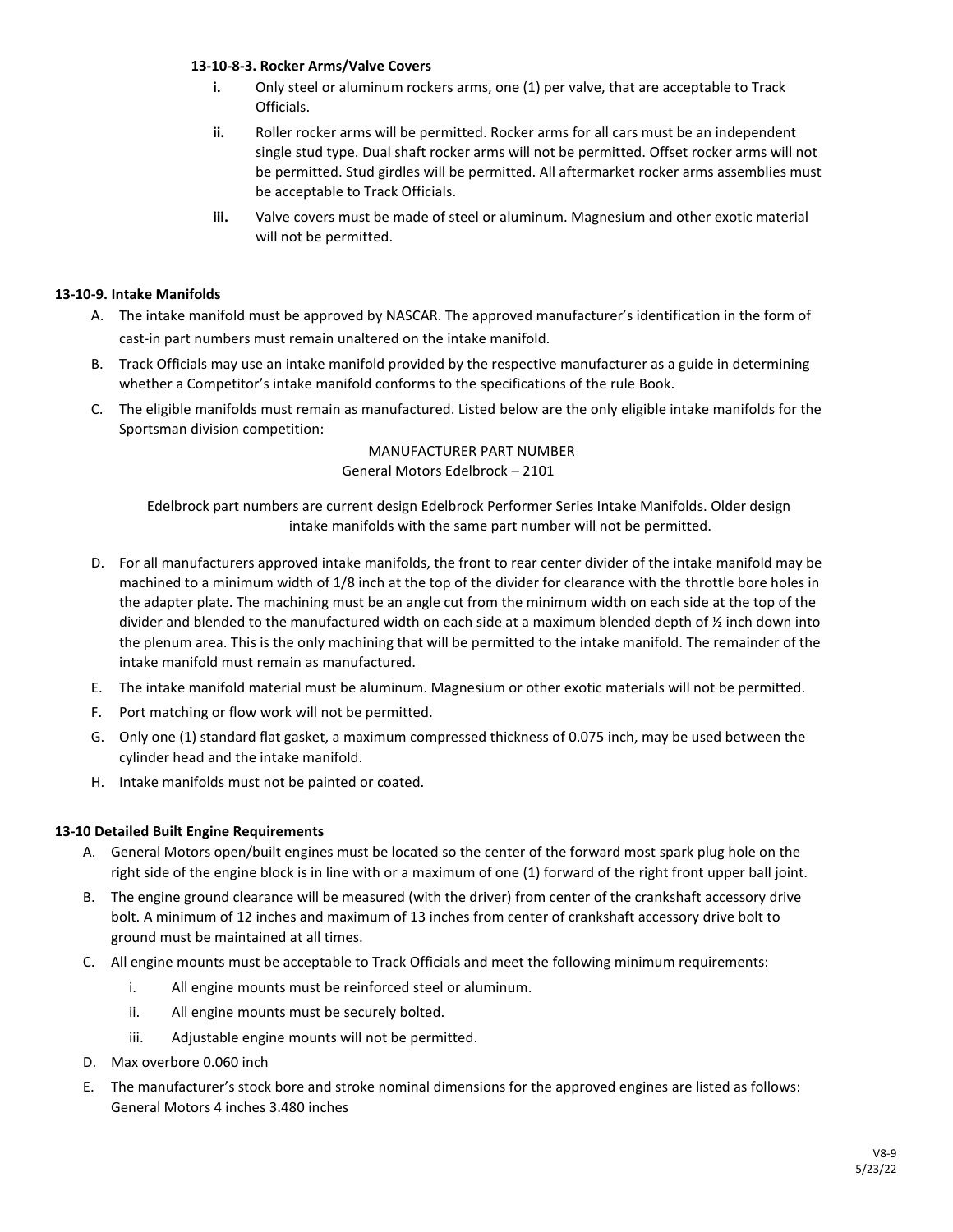## **13-10-8-3. Rocker Arms/Valve Covers**

- **i.** Only steel or aluminum rockers arms, one (1) per valve, that are acceptable to Track Officials.
- **ii.** Roller rocker arms will be permitted. Rocker arms for all cars must be an independent single stud type. Dual shaft rocker arms will not be permitted. Offset rocker arms will not be permitted. Stud girdles will be permitted. All aftermarket rocker arms assemblies must be acceptable to Track Officials.
- **iii.** Valve covers must be made of steel or aluminum. Magnesium and other exotic material will not be permitted.

## **13-10-9. Intake Manifolds**

- A. The intake manifold must be approved by NASCAR. The approved manufacturer's identification in the form of cast-in part numbers must remain unaltered on the intake manifold.
- B. Track Officials may use an intake manifold provided by the respective manufacturer as a guide in determining whether a Competitor's intake manifold conforms to the specifications of the rule Book.
- C. The eligible manifolds must remain as manufactured. Listed below are the only eligible intake manifolds for the Sportsman division competition:

## MANUFACTURER PART NUMBER General Motors Edelbrock – 2101

Edelbrock part numbers are current design Edelbrock Performer Series Intake Manifolds. Older design intake manifolds with the same part number will not be permitted.

- D. For all manufacturers approved intake manifolds, the front to rear center divider of the intake manifold may be machined to a minimum width of 1/8 inch at the top of the divider for clearance with the throttle bore holes in the adapter plate. The machining must be an angle cut from the minimum width on each side at the top of the divider and blended to the manufactured width on each side at a maximum blended depth of ½ inch down into the plenum area. This is the only machining that will be permitted to the intake manifold. The remainder of the intake manifold must remain as manufactured.
- E. The intake manifold material must be aluminum. Magnesium or other exotic materials will not be permitted.
- F. Port matching or flow work will not be permitted.
- G. Only one (1) standard flat gasket, a maximum compressed thickness of 0.075 inch, may be used between the cylinder head and the intake manifold.
- H. Intake manifolds must not be painted or coated.

## **13-10 Detailed Built Engine Requirements**

- A. General Motors open/built engines must be located so the center of the forward most spark plug hole on the right side of the engine block is in line with or a maximum of one (1) forward of the right front upper ball joint.
- B. The engine ground clearance will be measured (with the driver) from center of the crankshaft accessory drive bolt. A minimum of 12 inches and maximum of 13 inches from center of crankshaft accessory drive bolt to ground must be maintained at all times.
- C. All engine mounts must be acceptable to Track Officials and meet the following minimum requirements:
	- i. All engine mounts must be reinforced steel or aluminum.
	- ii. All engine mounts must be securely bolted.
	- iii. Adjustable engine mounts will not be permitted.
- D. Max overbore 0.060 inch
- E. The manufacturer's stock bore and stroke nominal dimensions for the approved engines are listed as follows: General Motors 4 inches 3.480 inches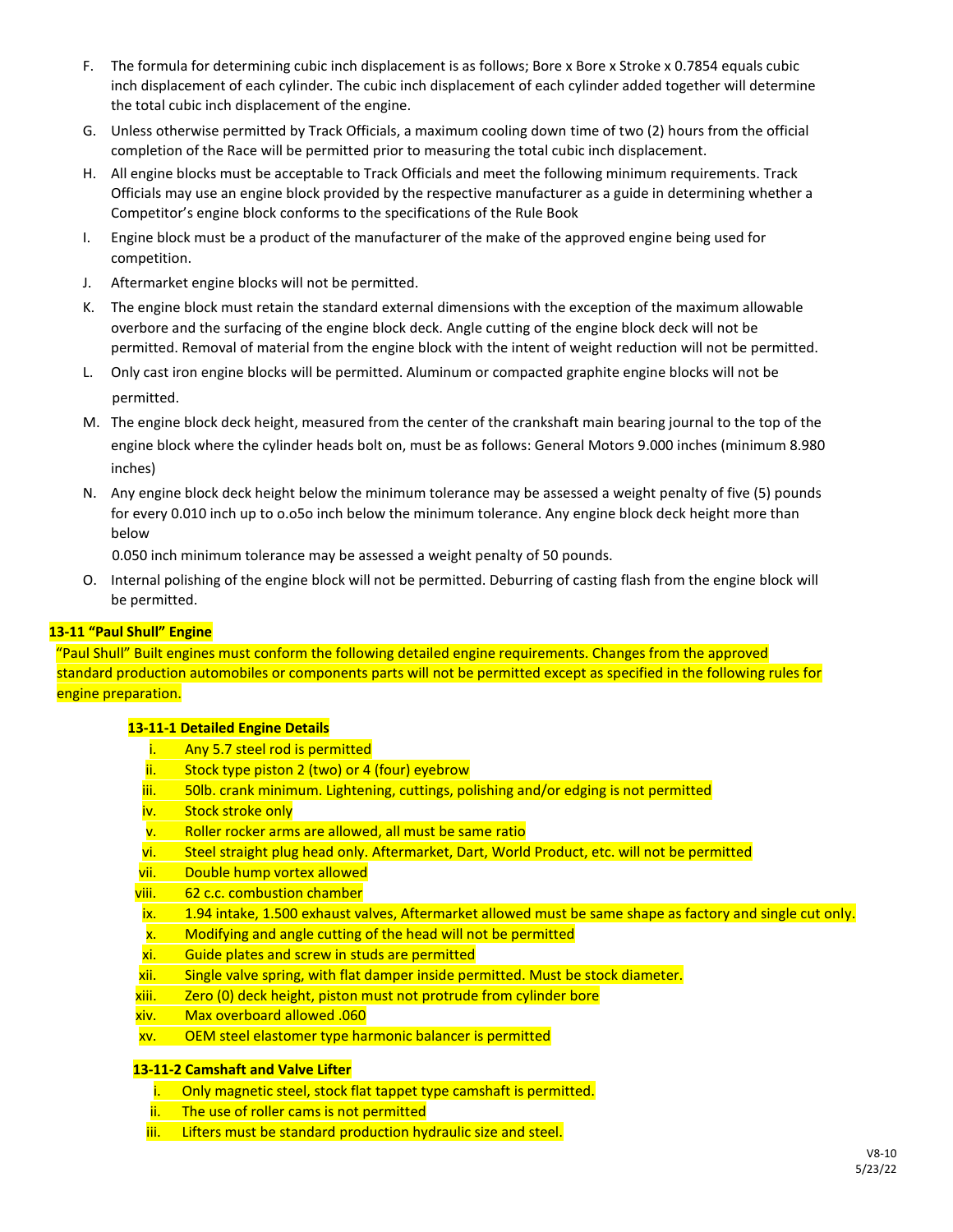- F. The formula for determining cubic inch displacement is as follows; Bore x Bore x Stroke x 0.7854 equals cubic inch displacement of each cylinder. The cubic inch displacement of each cylinder added together will determine the total cubic inch displacement of the engine.
- G. Unless otherwise permitted by Track Officials, a maximum cooling down time of two (2) hours from the official completion of the Race will be permitted prior to measuring the total cubic inch displacement.
- H. All engine blocks must be acceptable to Track Officials and meet the following minimum requirements. Track Officials may use an engine block provided by the respective manufacturer as a guide in determining whether a Competitor's engine block conforms to the specifications of the Rule Book
- I. Engine block must be a product of the manufacturer of the make of the approved engine being used for competition.
- J. Aftermarket engine blocks will not be permitted.
- K. The engine block must retain the standard external dimensions with the exception of the maximum allowable overbore and the surfacing of the engine block deck. Angle cutting of the engine block deck will not be permitted. Removal of material from the engine block with the intent of weight reduction will not be permitted.
- L. Only cast iron engine blocks will be permitted. Aluminum or compacted graphite engine blocks will not be permitted.
- M. The engine block deck height, measured from the center of the crankshaft main bearing journal to the top of the engine block where the cylinder heads bolt on, must be as follows: General Motors 9.000 inches (minimum 8.980 inches)
- N. Any engine block deck height below the minimum tolerance may be assessed a weight penalty of five (5) pounds for every 0.010 inch up to o.o5o inch below the minimum tolerance. Any engine block deck height more than below

0.050 inch minimum tolerance may be assessed a weight penalty of 50 pounds.

O. Internal polishing of the engine block will not be permitted. Deburring of casting flash from the engine block will be permitted.

## **13-11 "Paul Shull" Engine**

"Paul Shull" Built engines must conform the following detailed engine requirements. Changes from the approved standard production automobiles or components parts will not be permitted except as specified in the following rules for engine preparation.

## **13-11-1 Detailed Engine Details**

- i. Any 5.7 steel rod is permitted
- ii. Stock type piston 2 (two) or 4 (four) eyebrow
- iii. 50lb. crank minimum. Lightening, cuttings, polishing and/or edging is not permitted
- iv. Stock stroke only
- v. Roller rocker arms are allowed, all must be same ratio
- vi. Steel straight plug head only. Aftermarket, Dart, World Product, etc. will not be permitted
- vii. Double hump vortex allowed
- viii. 62 c.c. combustion chamber
- ix. 1.94 intake, 1.500 exhaust valves, Aftermarket allowed must be same shape as factory and single cut only.
- x. Modifying and angle cutting of the head will not be permitted
- xi. Guide plates and screw in studs are permitted
- xii. Single valve spring, with flat damper inside permitted. Must be stock diameter.
- xiii. Zero (0) deck height, piston must not protrude from cylinder bore
- xiv. Max overboard allowed .060
- xv. OEM steel elastomer type harmonic balancer is permitted

## **13-11-2 Camshaft and Valve Lifter**

- i. Only magnetic steel, stock flat tappet type camshaft is permitted.
- ii. The use of roller cams is not permitted
- iii. Lifters must be standard production hydraulic size and steel.